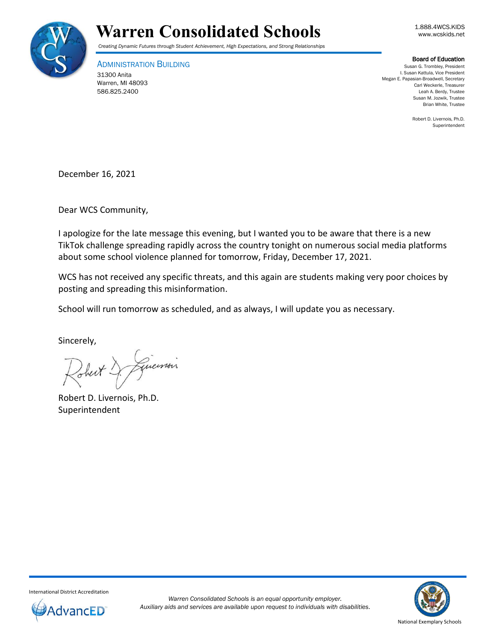



*Creating Dynamic Futures through Student Achievement, High Expectations, and Strong Relationships*

ADMINISTRATION BUILDING 31300 Anita Warren, MI 48093 586.825.2400

Board of Education

Susan G. Trombley, President I. Susan Kattula, Vice President Megan E. Papasian-Broadwell, Secretary Carl Weckerle, Treasurer Leah A. Berdy, Trustee Susan M. Jozwik, Trustee Brian White, Trustee

> Robert D. Livernois, Ph.D. Superintendent

December 16, 2021

Dear WCS Community,

I apologize for the late message this evening, but I wanted you to be aware that there is a new TikTok challenge spreading rapidly across the country tonight on numerous social media platforms about some school violence planned for tomorrow, Friday, December 17, 2021.

WCS has not received any specific threats, and this again are students making very poor choices by posting and spreading this misinformation.

School will run tomorrow as scheduled, and as always, I will update you as necessary.

Sincerely,

Linemon

Robert D. Livernois, Ph.D. Superintendent



International District Accreditation